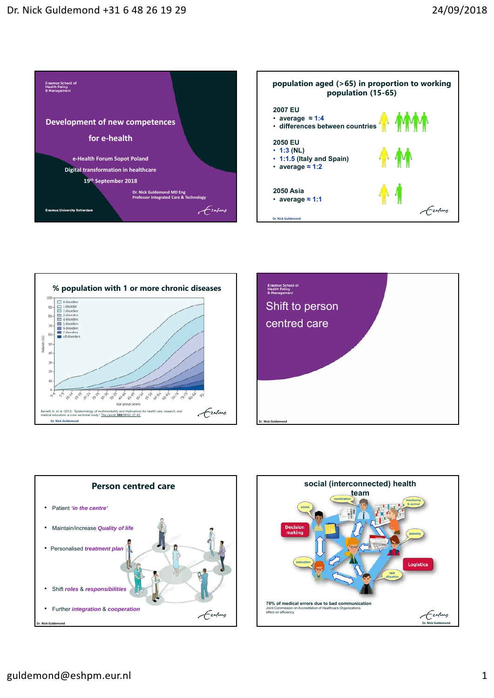









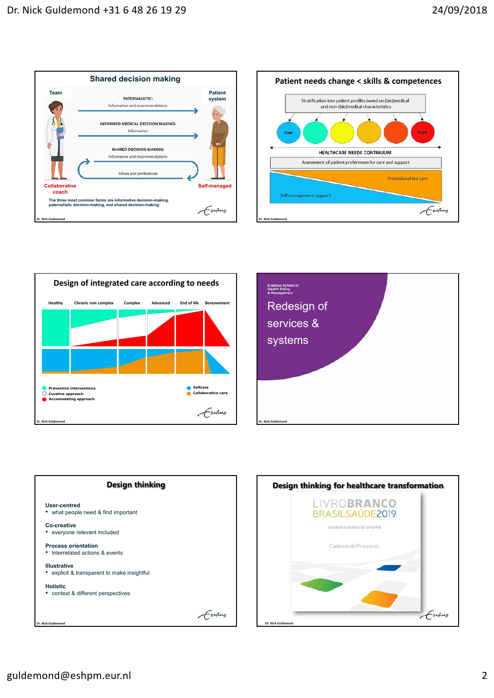









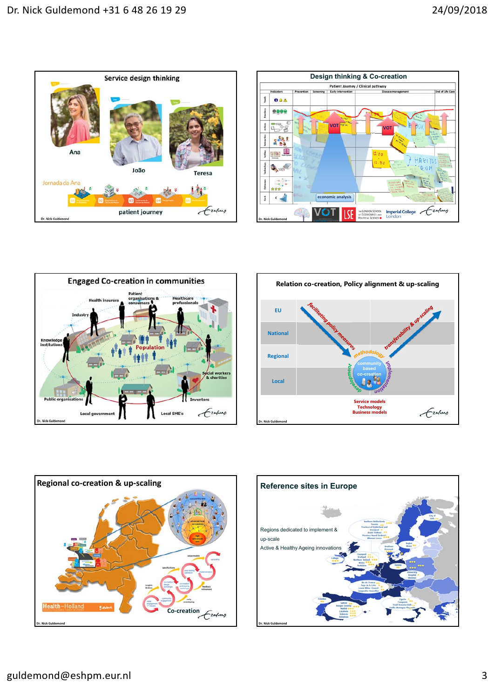